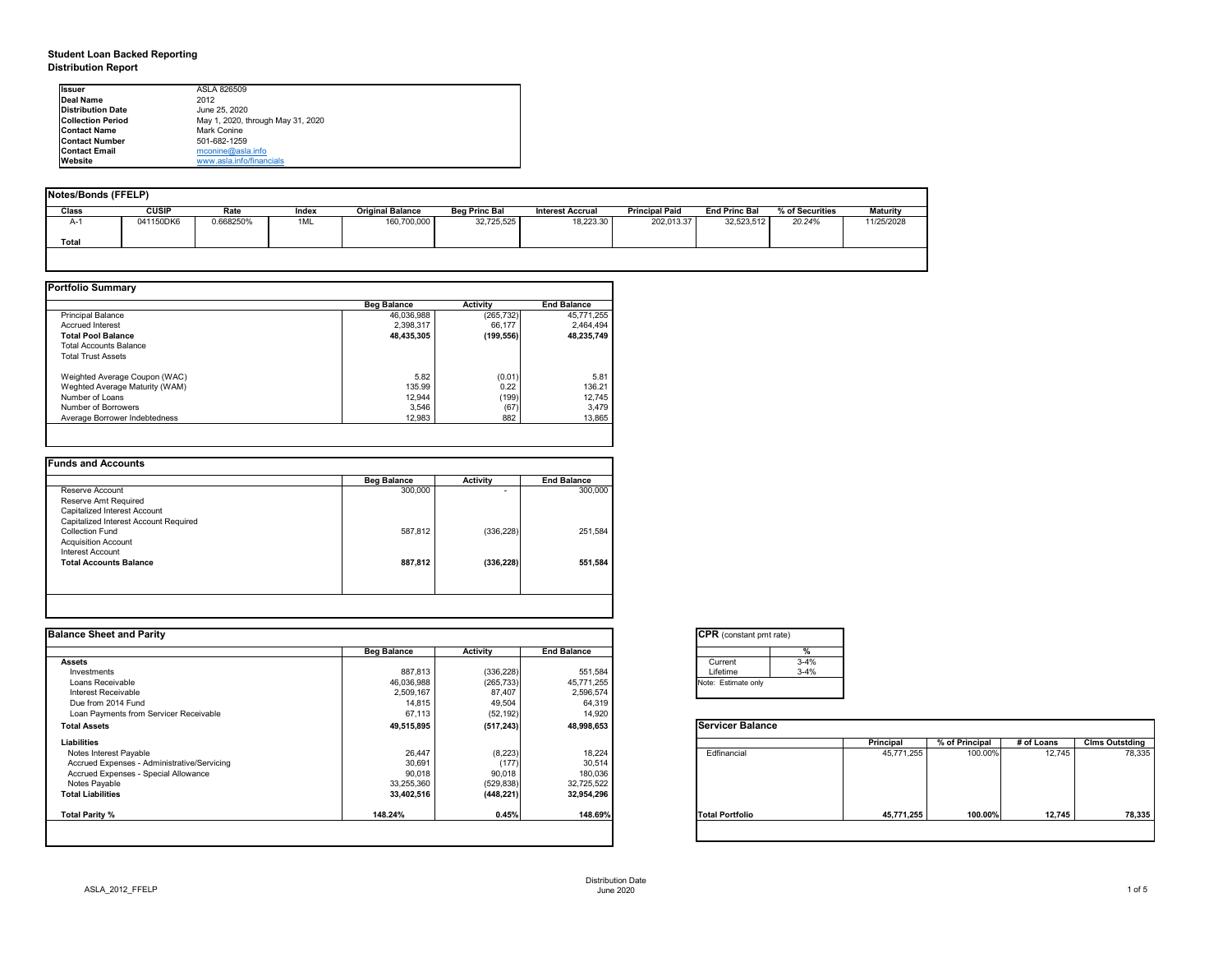## **Student Loan Backed Reporting Distribution Report**

| Notes/Bonds (FFELP) |              |           |       |                         |                      |                         |                       |                      |                 |                 |
|---------------------|--------------|-----------|-------|-------------------------|----------------------|-------------------------|-----------------------|----------------------|-----------------|-----------------|
| <b>Class</b>        | <b>CUSIP</b> | Rate      | Index | <b>Original Balance</b> | <b>Beg Princ Bal</b> | <b>Interest Accrual</b> | <b>Principal Paid</b> | <b>End Princ Bal</b> | % of Securities | <b>Maturity</b> |
| A-1                 | 041150DK6    | 0.668250% | 1ML   | 160,700,000             | 32,725,525           | 18,223.30               | 202,013.37            | 32,523,512           | 20.24%          | 11/25/2028      |
| Total               |              |           |       |                         |                      |                         |                       |                      |                 |                 |
|                     |              |           |       |                         |                      |                         |                       |                      |                 |                 |

|                                | <b>Beg Balance</b> | <b>Activity</b> | <b>End Balance</b> |
|--------------------------------|--------------------|-----------------|--------------------|
| <b>Principal Balance</b>       | 46,036,988         | (265, 732)      | 45,771,255         |
| <b>Accrued Interest</b>        | 2,398,317          | 66,177          | 2,464,494          |
| <b>Total Pool Balance</b>      | 48,435,305         | (199, 556)      | 48,235,749         |
| <b>Total Accounts Balance</b>  |                    |                 |                    |
| <b>Total Trust Assets</b>      |                    |                 |                    |
| Weighted Average Coupon (WAC)  | 5.82               | (0.01)          | 5.81               |
| Weghted Average Maturity (WAM) | 135.99             | 0.22            | 136.21             |
| Number of Loans                | 12,944             | (199)           | 12,745             |
| Number of Borrowers            | 3,546              | (67)            | 3,479              |
| Average Borrower Indebtedness  | 12,983             | 882             | 13,865             |

|                                       | <b>Beg Balance</b> | <b>Activity</b>          | <b>End Balance</b> |
|---------------------------------------|--------------------|--------------------------|--------------------|
| Reserve Account                       | 300,000            | $\overline{\phantom{0}}$ | 300,000            |
| Reserve Amt Required                  |                    |                          |                    |
| Capitalized Interest Account          |                    |                          |                    |
| Capitalized Interest Account Required |                    |                          |                    |
| <b>Collection Fund</b>                | 587,812            | (336, 228)               | 251,584            |
| <b>Acquisition Account</b>            |                    |                          |                    |
| Interest Account                      |                    |                          |                    |
| <b>Total Accounts Balance</b>         | 887,812            | (336, 228)               | 551,584            |
|                                       |                    |                          |                    |

| tant pmt rate) |          |  |  |  |  |  |  |  |
|----------------|----------|--|--|--|--|--|--|--|
|                | %        |  |  |  |  |  |  |  |
|                | $3 - 4%$ |  |  |  |  |  |  |  |
|                | $3 - 4%$ |  |  |  |  |  |  |  |
| te only        |          |  |  |  |  |  |  |  |
|                |          |  |  |  |  |  |  |  |

|      | Principal  | % of Principal | # of Loans | <b>Clms Outstding</b> |
|------|------------|----------------|------------|-----------------------|
| al   | 45,771,255 | 100.00%        | 12,745     | 78,335                |
| olio | 45,771,255 | 100.00%        | 12,745     | 78,335                |

| <b>Ilssuer</b>                                                | ASLA 826509              |  |  |  |  |
|---------------------------------------------------------------|--------------------------|--|--|--|--|
| <b>IDeal Name</b>                                             | 2012                     |  |  |  |  |
| <b>Distribution Date</b>                                      | June 25, 2020            |  |  |  |  |
| <b>Collection Period</b><br>May 1, 2020, through May 31, 2020 |                          |  |  |  |  |
| <b>IContact Name</b>                                          | <b>Mark Conine</b>       |  |  |  |  |
| <b>IContact Number</b>                                        | 501-682-1259             |  |  |  |  |
| <b>Contact Email</b>                                          | $m$ conine@asla.info     |  |  |  |  |
| <b>IWebsite</b>                                               | www.asla.info/financials |  |  |  |  |

| <b>Beg Balance</b> | <b>Balance Sheet and Parity</b> |                    |                         |                  |                |            |                       |
|--------------------|---------------------------------|--------------------|-------------------------|------------------|----------------|------------|-----------------------|
|                    | <b>Activity</b>                 | <b>End Balance</b> | %                       |                  |                |            |                       |
|                    |                                 |                    | $3 - 4%$<br>Current     |                  |                |            |                       |
| 887,813            | (336, 228)                      | 551,584            | $3 - 4%$<br>Lifetime    |                  |                |            |                       |
| 46,036,988         | (265, 733)                      | 45,771,255         | Note: Estimate only     |                  |                |            |                       |
| 2,509,167          | 87,407                          | 2,596,574          |                         |                  |                |            |                       |
| 14,815             | 49,504                          | 64,319             |                         |                  |                |            |                       |
| 67,113             | (52, 192)                       | 14,920             |                         |                  |                |            |                       |
| 49,515,895         | (517, 243)                      | 48,998,653         | <b>Servicer Balance</b> |                  |                |            |                       |
|                    |                                 |                    |                         | <b>Principal</b> | % of Principal | # of Loans | <b>Clms Outstding</b> |
| 26,447             | (8, 223)                        | 18,224             | Edfinancial             | 45,771,255       | 100.00%        | 12,745     | 78,335                |
| 30,691             | (177)                           | 30,514             |                         |                  |                |            |                       |
| 90,018             | 90,018                          | 180,036            |                         |                  |                |            |                       |
| 33,255,360         | (529, 838)                      | 32,725,522         |                         |                  |                |            |                       |
| 33,402,516         | (448, 221)                      | 32,954,296         |                         |                  |                |            |                       |
| 148.24%            | 0.45%                           | 148.69%            | <b>Total Portfolio</b>  | 45,771,255       | 100.00%        | 12,745     | 78,335                |
|                    |                                 |                    |                         |                  |                |            |                       |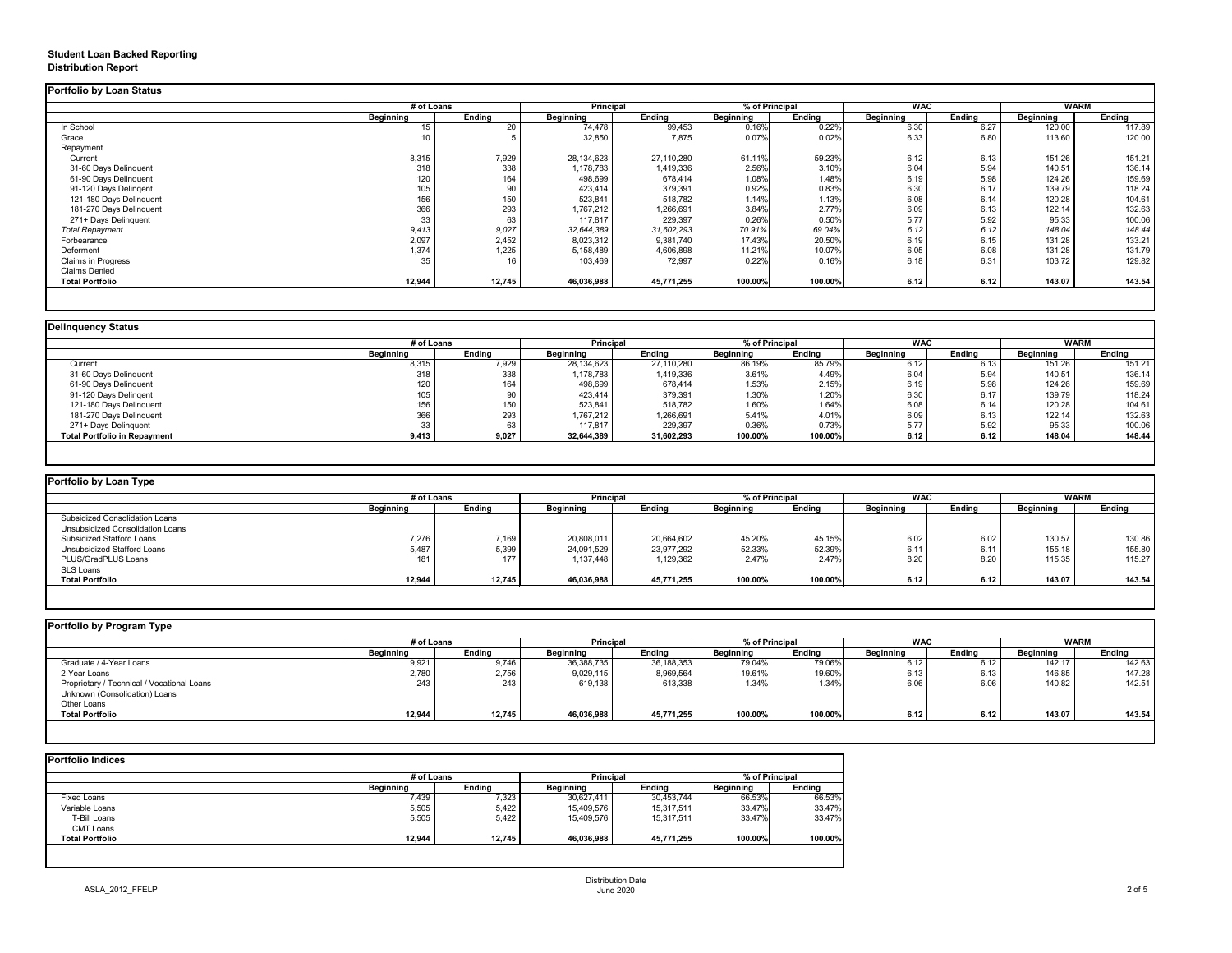## **Student Loan Backed Reporting Distribution Report**

## **Delinquency Status**

|                           | # of Loans       |                 | Principal        |               | % of Principal   |               | <b>WAC</b>       |               | <b>WARM</b>      |               |
|---------------------------|------------------|-----------------|------------------|---------------|------------------|---------------|------------------|---------------|------------------|---------------|
|                           | <b>Beginning</b> | <b>Ending</b>   | <b>Beginning</b> | <b>Ending</b> | <b>Beginning</b> | <b>Ending</b> | <b>Beginning</b> | <b>Ending</b> | <b>Beginning</b> | <b>Ending</b> |
| In School                 | 15               | 20              | 74,478           | 99,453        | 0.16%            | 0.22%         | 6.30             | 6.27          | 120.00           | 117.89        |
| Grace                     | 10               |                 | 32,850           | 7,875         | 0.07%            | 0.02%         | 6.33             | 6.80          | 113.60           | 120.00        |
| Repayment                 |                  |                 |                  |               |                  |               |                  |               |                  |               |
| Current                   | 8,315            | 7,929           | 28,134,623       | 27,110,280    | 61.11%           | 59.23%        | 6.12             | 6.13          | 151.26           | 151.21        |
| 31-60 Days Delinquent     | 318              | 338             | 1,178,783        | 1,419,336     | 2.56%            | 3.10%         | 6.04             | 5.94          | 140.51           | 136.14        |
| 61-90 Days Delinquent     | 120              | 164             | 498,699          | 678,414       | 1.08%            | 1.48%         | 6.19             | 5.98          | 124.26           | 159.69        |
| 91-120 Days Delingent     | 105              | 90              | 423,414          | 379,391       | 0.92%            | 0.83%         | 6.30             | 6.17          | 139.79           | 118.24        |
| 121-180 Days Delinquent   | 156              | 150             | 523,841          | 518,782       | 1.14%            | 1.13%         | 6.08             | 6.14          | 120.28           | 104.61        |
| 181-270 Days Delinquent   | 366              | 293             | 1,767,212        | 1,266,691     | 3.84%            | 2.77%         | 6.09             | 6.13          | 122.14           | 132.63        |
| 271+ Days Delinquent      | 33               | 63              | 117,817          | 229,397       | 0.26%            | 0.50%         | 5.77             | 5.92          | 95.33            | 100.06        |
| <b>Total Repayment</b>    | 9,413            | 9,027           | 32,644,389       | 31,602,293    | 70.91%           | 69.04%        | 6.12             | 6.12          | 148.04           | 148.44        |
| Forbearance               | 2,097            | 2,452           | 8,023,312        | 9,381,740     | 17.43%           | 20.50%        | 6.19             | 6.15          | 131.28           | 133.21        |
| Deferment                 | 1,374            | 1,225           | 5,158,489        | 4,606,898     | 11.21%           | 10.07%        | 6.05             | 6.08          | 131.28           | 131.79        |
| <b>Claims in Progress</b> | 35               | 16 <sub>1</sub> | 103,469          | 72,997        | 0.22%            | 0.16%         | 6.18             | 6.31          | 103.72           | 129.82        |
| <b>Claims Denied</b>      |                  |                 |                  |               |                  |               |                  |               |                  |               |
| <b>Total Portfolio</b>    | 12,944           | 12,745          | 46,036,988       | 45,771,255    | 100.00%          | 100.00%       | 6.12             | 6.12          | 143.07           | 143.54        |

| Delinquency Status                  |                  |               |                  |               |                  |               |                  |               |                  |        |
|-------------------------------------|------------------|---------------|------------------|---------------|------------------|---------------|------------------|---------------|------------------|--------|
|                                     | # of Loans       |               | <b>Principal</b> |               | % of Principal   |               | <b>WAC</b>       |               | <b>WARM</b>      |        |
|                                     | <b>Beginning</b> | <b>Ending</b> | <b>Beginning</b> | <b>Ending</b> | <b>Beginning</b> | <b>Ending</b> | <b>Beginning</b> | <b>Ending</b> | <b>Beginning</b> | Ending |
| Current                             | 8,315            | 7,929         | 28,134,623       | 27,110,280    | 86.19%           | 85.79%        | 6.12             | 6.13          | 151.26           | 151.21 |
| 31-60 Days Delinquent               | 318              | 338           | 1,178,783        | 1,419,336     | 3.61%            | 4.49%         | 6.04             | 5.94          | 140.51           | 136.14 |
| 61-90 Days Delinquent               | 120              | 164           | 498,699          | 678,414       | 1.53%            | 2.15%         | 6.19             | 5.98          | 124.26           | 159.69 |
| 91-120 Days Delingent               | 105              | 90            | 423,414          | 379,391       | 1.30%            | 1.20%         | 6.30             | 6.17          | 139.79           | 118.24 |
| 121-180 Days Delinquent             | 156              | 150           | 523,841          | 518,782       | 1.60%            | 1.64%         | 6.08             | 6.14          | 120.28           | 104.61 |
| 181-270 Days Delinquent             | 366              | 293           | ,767,212         | 1,266,691     | 5.41%            | 4.01%         | 6.09             | 6.13          | 122.14           | 132.63 |
| 271+ Days Delinquent                | 33               | 63            | 117,817          | 229,397       | 0.36%            | 0.73%         | 5.77             | 5.92          | 95.33            | 100.06 |
| <b>Total Portfolio in Repayment</b> | 9,413            | 9,027         | 32,644,389       | 31,602,293    | 100.00%          | 100.00%       | 6.12             | 6.12          | 148.04           | 148.44 |
|                                     |                  |               |                  |               |                  |               |                  |               |                  |        |

| <b>Portfolio by Loan Type</b>    |                  |               |                  |               |                  |               |                  |               |                  |        |  |
|----------------------------------|------------------|---------------|------------------|---------------|------------------|---------------|------------------|---------------|------------------|--------|--|
|                                  | # of Loans       |               | <b>Principal</b> |               | % of Principal   |               | <b>WAC</b>       |               | <b>WARM</b>      |        |  |
|                                  | <b>Beginning</b> | <b>Ending</b> | <b>Beginning</b> | <b>Ending</b> | <b>Beginning</b> | <b>Ending</b> | <b>Beginning</b> | <b>Ending</b> | <b>Beginning</b> | Ending |  |
| Subsidized Consolidation Loans   |                  |               |                  |               |                  |               |                  |               |                  |        |  |
| Unsubsidized Consolidation Loans |                  |               |                  |               |                  |               |                  |               |                  |        |  |
| <b>Subsidized Stafford Loans</b> | 7,276            | 7,169         | 20,808,011       | 20,664,602    | 45.20%           | 45.15%        | 6.02             | 6.02          | 130.57           | 130.86 |  |
| Unsubsidized Stafford Loans      | 5,487            | 5,399         | 24,091,529       | 23,977,292    | 52.33%           | 52.39%        | 6.11             | 6.11          | 155.18           | 155.80 |  |
| PLUS/GradPLUS Loans              | 181              | 177           | 1,137,448        | 1,129,362     | 2.47%            | 2.47%         | 8.20             | 8.20          | 115.35           | 115.27 |  |
| <b>SLS Loans</b>                 |                  |               |                  |               |                  |               |                  |               |                  |        |  |
| <b>Total Portfolio</b>           | 12,944           | 12,745        | 46,036,988       | 45,771,255    | 100.00%          | 100.00%       | 6.12             | 6.12          | 143.07           | 143.54 |  |

|  |  |  |  | Portfolio by Program Type |  |
|--|--|--|--|---------------------------|--|
|--|--|--|--|---------------------------|--|

| <b>Portfolio by Program Type</b>           |                  |               |                  |               |                |               |                  |               |                  |               |
|--------------------------------------------|------------------|---------------|------------------|---------------|----------------|---------------|------------------|---------------|------------------|---------------|
|                                            |                  | # of Loans    |                  | Principal     | % of Principal |               | <b>WAC</b>       |               | <b>WARM</b>      |               |
|                                            | <b>Beginning</b> | <b>Ending</b> | <b>Beginning</b> | <b>Ending</b> | Beginning      | <b>Ending</b> | <b>Beginning</b> | <b>Ending</b> | <b>Beginning</b> | <b>Ending</b> |
| Graduate / 4-Year Loans                    | 9,921            | 9,746         | 36,388,735       | 36,188,353    | 79.04%         | 79.06%        | 6.12             | 6.12          | 142.17           | 142.63        |
| 2-Year Loans                               | 2,780            | 2,756         | 9,029,115        | 8,969,564     | 19.61%         | 19.60%        | 6.13             | 6.13          | 146.85           | 147.28        |
| Proprietary / Technical / Vocational Loans | 243              | 243           | 619,138          | 613,338       | 1.34%          | 1.34%         | 6.06             | 6.06          | 140.82           | 142.51        |
| Unknown (Consolidation) Loans              |                  |               |                  |               |                |               |                  |               |                  |               |
| Other Loans                                |                  |               |                  |               |                |               |                  |               |                  |               |
| <b>Total Portfolio</b>                     | 12,944           | 12,745        | 46,036,988       | 45,771,255    | 100.00%        | 100.00%       | 6.12             | 6.12          | 143.07           | 143.54        |
|                                            |                  |               |                  |               |                |               |                  |               |                  |               |

|                        |                  | # of Loans    |                  | <b>Principal</b> |                  | % of Principal |  |
|------------------------|------------------|---------------|------------------|------------------|------------------|----------------|--|
|                        | <b>Beginning</b> | <b>Ending</b> | <b>Beginning</b> | <b>Ending</b>    | <b>Beginning</b> | <b>Ending</b>  |  |
| <b>Fixed Loans</b>     | 7,439            | 7,323         | 30,627,411       | 30,453,744       | 66.53%           | 66.53%         |  |
| Variable Loans         | 5,505            | 5,422         | 15,409,576       | 15,317,511       | 33.47%           | 33.47%         |  |
| T-Bill Loans           | 5,505            | 5,422         | 15,409,576       | 15,317,511       | 33.47%           | 33.47%         |  |
| <b>CMT Loans</b>       |                  |               |                  |                  |                  |                |  |
| <b>Total Portfolio</b> | 12,944           | 12,745        | 46,036,988       | 45,771,255       | 100.00%          | 100.00%        |  |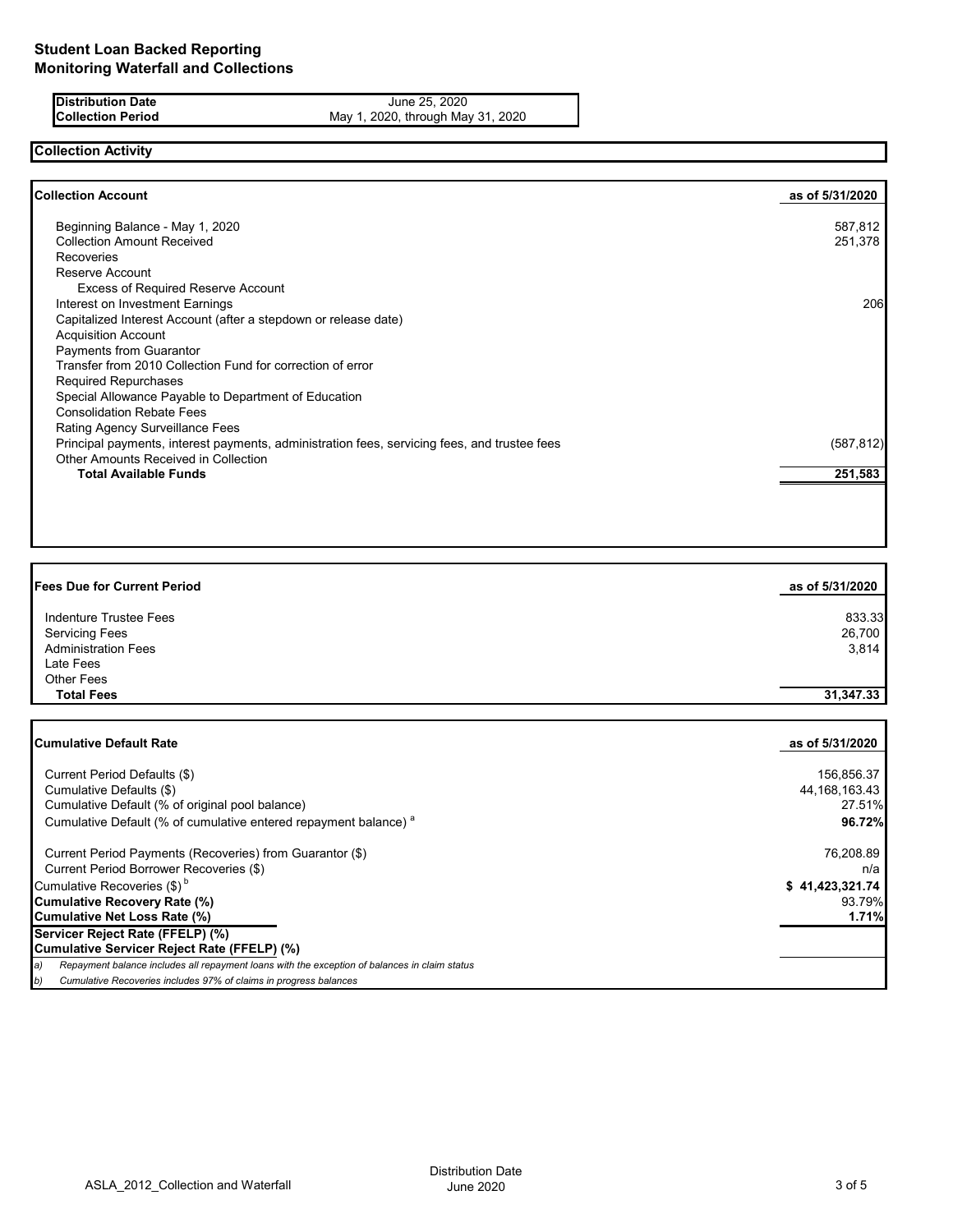**Distribution Date** June 25, 2020 **Collection Period** May 1, 2020, through May 31, 2020

# **Collection Activity**

| <b>Collection Account</b>                                                                    | as of 5/31/2020 |
|----------------------------------------------------------------------------------------------|-----------------|
| Beginning Balance - May 1, 2020                                                              | 587,812         |
| <b>Collection Amount Received</b>                                                            | 251,378         |
| <b>Recoveries</b>                                                                            |                 |
| Reserve Account                                                                              |                 |
| <b>Excess of Required Reserve Account</b>                                                    |                 |
| Interest on Investment Earnings                                                              | 206             |
| Capitalized Interest Account (after a stepdown or release date)                              |                 |
| <b>Acquisition Account</b>                                                                   |                 |
| Payments from Guarantor                                                                      |                 |
| Transfer from 2010 Collection Fund for correction of error                                   |                 |
| <b>Required Repurchases</b>                                                                  |                 |
| Special Allowance Payable to Department of Education                                         |                 |
| <b>Consolidation Rebate Fees</b>                                                             |                 |
| <b>Rating Agency Surveillance Fees</b>                                                       |                 |
| Principal payments, interest payments, administration fees, servicing fees, and trustee fees | (587, 812)      |
| <b>Other Amounts Received in Collection</b>                                                  |                 |
| <b>Total Available Funds</b>                                                                 | 251,583         |
|                                                                                              |                 |
|                                                                                              |                 |

| <b>Fees Due for Current Period</b> | as of 5/31/2020 |
|------------------------------------|-----------------|
| Indenture Trustee Fees             | 833.33          |
| <b>Servicing Fees</b>              | 26,700          |
| <b>Administration Fees</b>         | 3,814           |
| Late Fees                          |                 |
| <b>Other Fees</b>                  |                 |
| <b>Total Fees</b>                  | 31,347.33       |
|                                    |                 |

| <b>Cumulative Default Rate</b>                                                                      | as of 5/31/2020  |
|-----------------------------------------------------------------------------------------------------|------------------|
| Current Period Defaults (\$)                                                                        | 156,856.37       |
| Cumulative Defaults (\$)                                                                            | 44, 168, 163. 43 |
| Cumulative Default (% of original pool balance)                                                     | 27.51%           |
| Cumulative Default (% of cumulative entered repayment balance) <sup>a</sup>                         | 96.72%           |
| Current Period Payments (Recoveries) from Guarantor (\$)                                            | 76,208.89        |
| Current Period Borrower Recoveries (\$)                                                             | n/a              |
| Cumulative Recoveries (\$) <sup>b</sup>                                                             | \$41,423,321.74  |
| <b>Cumulative Recovery Rate (%)</b>                                                                 | 93.79%           |
| <b>Cumulative Net Loss Rate (%)</b>                                                                 | 1.71%            |
| Servicer Reject Rate (FFELP) (%)                                                                    |                  |
| Cumulative Servicer Reject Rate (FFELP) (%)                                                         |                  |
| Repayment balance includes all repayment loans with the exception of balances in claim status<br>a) |                  |
| Cumulative Recoveries includes 97% of claims in progress balances<br>b)                             |                  |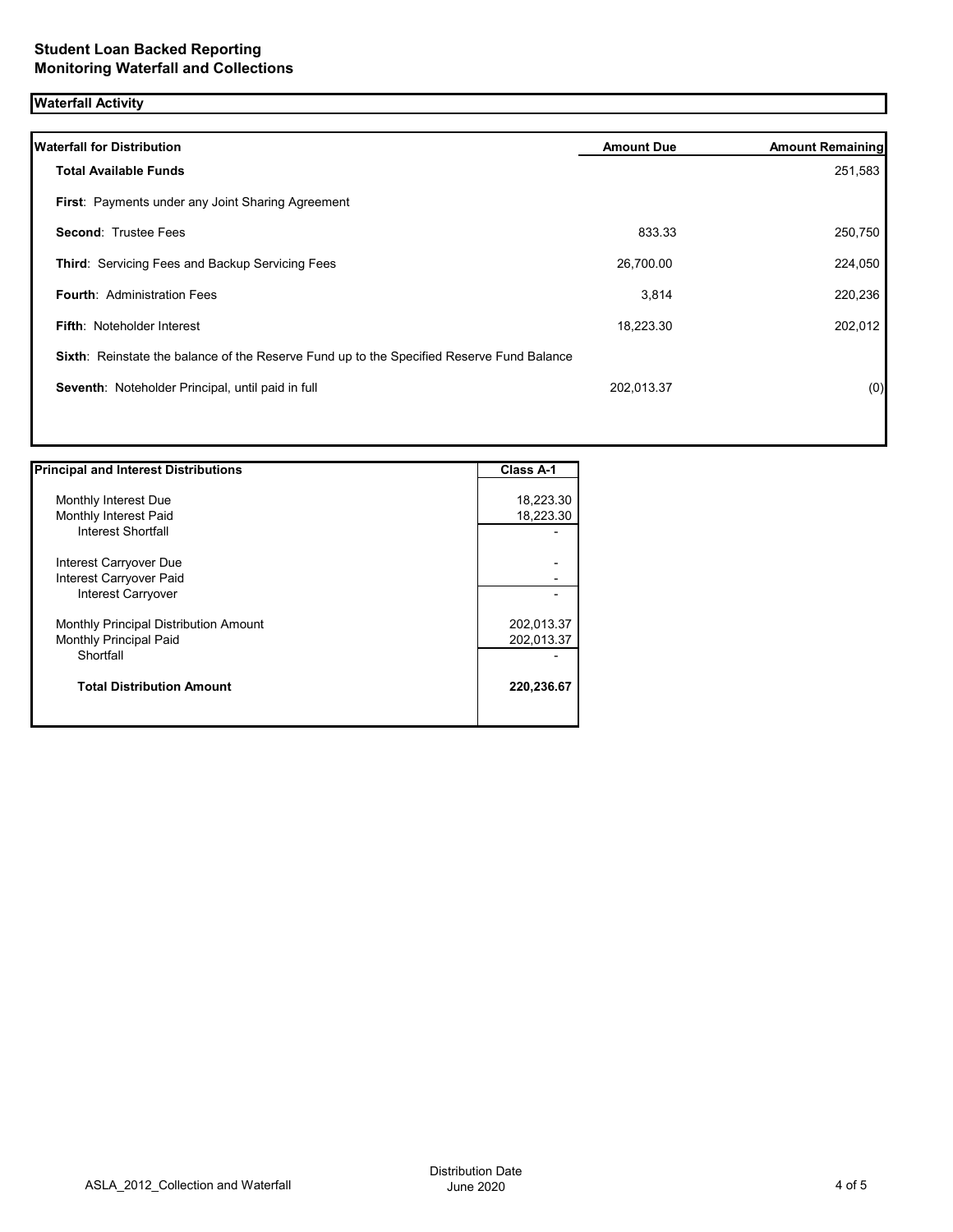# **Waterfall Activity**

| <b>Waterfall for Distribution</b>                                                         | <b>Amount Due</b> | <b>Amount Remaining</b> |
|-------------------------------------------------------------------------------------------|-------------------|-------------------------|
| <b>Total Available Funds</b>                                                              |                   | 251,583                 |
| First: Payments under any Joint Sharing Agreement                                         |                   |                         |
| <b>Second: Trustee Fees</b>                                                               | 833.33            | 250,750                 |
| Third: Servicing Fees and Backup Servicing Fees                                           | 26,700.00         | 224,050                 |
| <b>Fourth: Administration Fees</b>                                                        | 3,814             | 220,236                 |
| <b>Fifth: Noteholder Interest</b>                                                         | 18,223.30         | 202,012                 |
| Sixth: Reinstate the balance of the Reserve Fund up to the Specified Reserve Fund Balance |                   |                         |
| Seventh: Noteholder Principal, until paid in full                                         | 202,013.37        | (0)                     |
|                                                                                           |                   |                         |

| <b>Principal and Interest Distributions</b> | <b>Class A-1</b> |
|---------------------------------------------|------------------|
|                                             |                  |
| Monthly Interest Due                        | 18,223.30        |
| Monthly Interest Paid                       | 18,223.30        |
| Interest Shortfall                          |                  |
| Interest Carryover Due                      |                  |
| Interest Carryover Paid                     |                  |
| <b>Interest Carryover</b>                   |                  |
| Monthly Principal Distribution Amount       | 202,013.37       |
| <b>Monthly Principal Paid</b>               | 202,013.37       |
| Shortfall                                   |                  |
| <b>Total Distribution Amount</b>            | 220,236.67       |
|                                             |                  |

Π